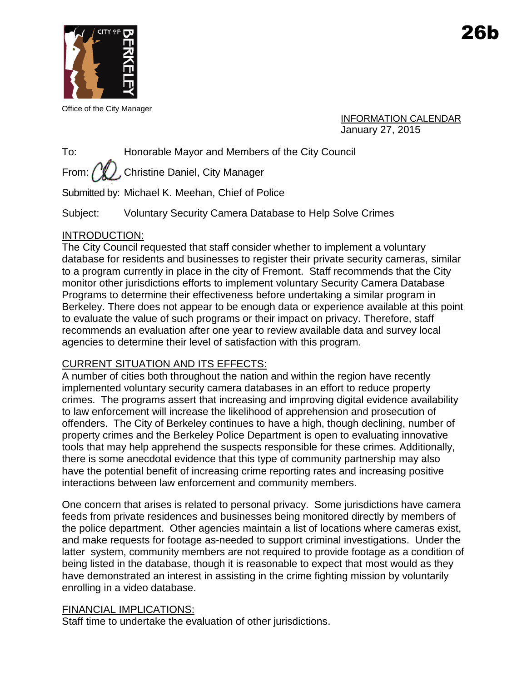

Office of the City Manager

INFORMATION CALENDAR January 27, 2015

To: Honorable Mayor and Members of the City Council

From:  $\binom{N}{k}$ , Christine Daniel, City Manager

Submitted by: Michael K. Meehan, Chief of Police

Subject: Voluntary Security Camera Database to Help Solve Crimes

## INTRODUCTION:

The City Council requested that staff consider whether to implement a voluntary database for residents and businesses to register their private security cameras, similar to a program currently in place in the city of Fremont. Staff recommends that the City monitor other jurisdictions efforts to implement voluntary Security Camera Database Programs to determine their effectiveness before undertaking a similar program in Berkeley. There does not appear to be enough data or experience available at this point to evaluate the value of such programs or their impact on privacy. Therefore, staff recommends an evaluation after one year to review available data and survey local agencies to determine their level of satisfaction with this program.

# CURRENT SITUATION AND ITS EFFECTS:

A number of cities both throughout the nation and within the region have recently implemented voluntary security camera databases in an effort to reduce property crimes. The programs assert that increasing and improving digital evidence availability to law enforcement will increase the likelihood of apprehension and prosecution of offenders. The City of Berkeley continues to have a high, though declining, number of property crimes and the Berkeley Police Department is open to evaluating innovative tools that may help apprehend the suspects responsible for these crimes. Additionally, there is some anecdotal evidence that this type of community partnership may also have the potential benefit of increasing crime reporting rates and increasing positive interactions between law enforcement and community members.

One concern that arises is related to personal privacy. Some jurisdictions have camera feeds from private residences and businesses being monitored directly by members of the police department. Other agencies maintain a list of locations where cameras exist, and make requests for footage as-needed to support criminal investigations. Under the latter system, community members are not required to provide footage as a condition of being listed in the database, though it is reasonable to expect that most would as they have demonstrated an interest in assisting in the crime fighting mission by voluntarily enrolling in a video database.

## FINANCIAL IMPLICATIONS:

Staff time to undertake the evaluation of other jurisdictions.